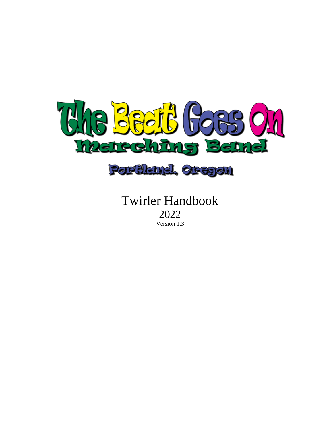

Twirler Handbook 2022

Version 1.3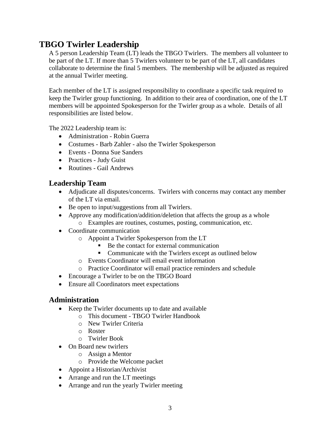# **TBGO Twirler Leadership**

A 5 person Leadership Team (LT) leads the TBGO Twirlers. The members all volunteer to be part of the LT. If more than 5 Twirlers volunteer to be part of the LT, all candidates collaborate to determine the final 5 members. The membership will be adjusted as required at the annual Twirler meeting.

Each member of the LT is assigned responsibility to coordinate a specific task required to keep the Twirler group functioning. In addition to their area of coordination, one of the LT members will be appointed Spokesperson for the Twirler group as a whole. Details of all responsibilities are listed below.

The 2022 Leadership team is:

- Administration Robin Guerra
- Costumes Barb Zahler also the Twirler Spokesperson
- Events Donna Sue Sanders
- Practices Judy Guist
- Routines Gail Andrews

# **Leadership Team**

- Adjudicate all disputes/concerns. Twirlers with concerns may contact any member of the LT via email.
- Be open to input/suggestions from all Twirlers.
- Approve any modification/addition/deletion that affects the group as a whole o Examples are routines, costumes, posting, communication, etc.
- Coordinate communication
	- o Appoint a Twirler Spokesperson from the LT
		- Be the contact for external communication
		- Communicate with the Twirlers except as outlined below
	- o Events Coordinator will email event information
	- o Practice Coordinator will email practice reminders and schedule
- Encourage a Twirler to be on the TBGO Board
- Ensure all Coordinators meet expectations

### **Administration**

- Keep the Twirler documents up to date and available
	- o This document TBGO Twirler Handbook
	- o New Twirler Criteria
	- o Roster
	- o Twirler Book
- On Board new twirlers
	- o Assign a Mentor
	- o Provide the Welcome packet
- Appoint a Historian/Archivist
- Arrange and run the LT meetings
- Arrange and run the yearly Twirler meeting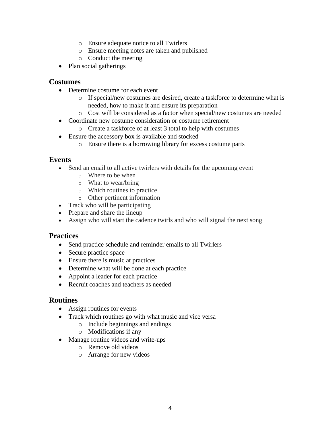- o Ensure adequate notice to all Twirlers
- o Ensure meeting notes are taken and published
- o Conduct the meeting
- Plan social gatherings

### **Costumes**

- Determine costume for each event
	- o If special/new costumes are desired, create a taskforce to determine what is needed, how to make it and ensure its preparation
	- o Cost will be considered as a factor when special/new costumes are needed
- Coordinate new costume consideration or costume retirement
	- o Create a taskforce of at least 3 total to help with costumes
- Ensure the accessory box is available and stocked
	- o Ensure there is a borrowing library for excess costume parts

### **Events**

- Send an email to all active twirlers with details for the upcoming event
	- o Where to be when
	- o What to wear/bring
	- o Which routines to practice
	- o Other pertinent information
- Track who will be participating
- Prepare and share the lineup
- Assign who will start the cadence twirls and who will signal the next song

### **Practices**

- Send practice schedule and reminder emails to all Twirlers
- Secure practice space
- Ensure there is music at practices
- Determine what will be done at each practice
- Appoint a leader for each practice
- Recruit coaches and teachers as needed

### **Routines**

- Assign routines for events
- Track which routines go with what music and vice versa
	- o Include beginnings and endings
	- o Modifications if any
- Manage routine videos and write-ups
	- o Remove old videos
	- o Arrange for new videos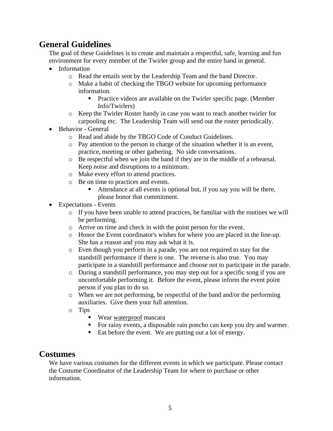# **General Guidelines**

The goal of these Guidelines is to create and maintain a respectful, safe, learning and fun environment for every member of the Twirler group and the entire band in general.

- Information
	- o Read the emails sent by the Leadership Team and the band Director.
	- o Make a habit of checking the TBGO website for upcoming performance information.
		- Practice videos are available on the Twirler specific page. (Member Info/Twirlers)
	- o Keep the Twirler Roster handy in case you want to reach another twirler for carpooling etc. The Leadership Team will send out the roster periodically.
- Behavior General
	- o Read and abide by the TBGO Code of Conduct Guidelines.
	- o Pay attention to the person in charge of the situation whether it is an event, practice, meeting or other gathering. No side conversations.
	- o Be respectful when we join the band if they are in the middle of a rehearsal. Keep noise and disruptions to a minimum.
	- o Make every effort to attend practices.
	- o Be on time to practices and events.
		- Attendance at all events is optional but, if you say you will be there, please honor that commitment.
- Expectations Events
	- o If you have been unable to attend practices, be familiar with the routines we will be performing.
	- o Arrive on time and check in with the point person for the event.
	- o Honor the Event coordinator's wishes for where you are placed in the line-up. She has a reason and you may ask what it is.
	- o Even though you perform in a parade, you are not required to stay for the standstill performance if there is one. The reverse is also true. You may participate in a standstill performance and choose not to participate in the parade.
	- o During a standstill performance, you may step out for a specific song if you are uncomfortable performing it. Before the event, please inform the event point person if you plan to do so.
	- o When we are not performing, be respectful of the band and/or the performing auxiliaries. Give them your full attention.
	- o Tips
		- Wear waterproof mascara
		- For rainy events, a disposable rain poncho can keep you dry and warmer.
		- Eat before the event. We are putting out a lot of energy.

## **Costumes**

We have various costumes for the different events in which we participate. Please contact the Costume Coordinator of the Leadership Team for where to purchase or other information.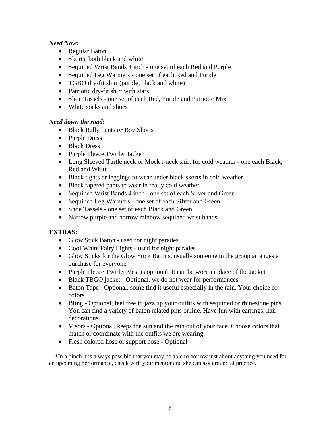#### *Need Now:*

- Regular Baton
- Skorts, both black and white
- Sequined Wrist Bands 4 inch *-* one set of each Red and Purple
- Sequined Leg Warmers one set of each Red and Purple
- TGBO dry-fit shirt (purple, black and white)
- Patriotic dry-fit shirt with stars
- Shoe Tassels *-* one set of each Red, Purple and Patriotic Mix
- White socks and shoes

#### *Need down the road:*

- Black Rally Pants *or* Boy Shorts
- Purple Dress
- Black Dress
- Purple Fleece Twirler Jacket
- Long Sleeved Turtle neck or Mock t-neck shirt for cold weather one each Black, Red and White
- Black tights or leggings to wear under black skorts in cold weather
- Black tapered pants to wear in really cold weather
- Sequined Wrist Bands 4 inch one set of each Silver and Green
- Sequined Leg Warmers one set of each Silver and Green
- Shoe Tassels one set of each Black and Green
- Narrow purple and narrow rainbow sequined wrist bands

### **EXTRAS:**

- Glow Stick Baton used for night parades.
- Cool White Fairy Lights used for night parades
- Glow Sticks for the Glow Stick Batons, usually someone in the group arranges a purchase for everyone
- Purple Fleece Twirler Vest is optional. It can be worn in place of the Jacket
- Black TBGO jacket Optional, we do not wear for performances.
- Baton Tape Optional, some find it useful especially in the rain. Your choice of colors
- Bling Optional, feel free to jazz up your outfits with sequined or rhinestone pins. You can find a variety of baton related pins online. Have fun with earrings, hair decorations.
- Visors Optional, keeps the sun and the rain out of your face. Choose colors that match or coordinate with the outfits we are wearing.
- Flesh colored hose or support hose Optional

\*In a pinch it is always possible that you may be able to borrow just about anything you need for an upcoming performance, check with your mentor and she can ask around at practice.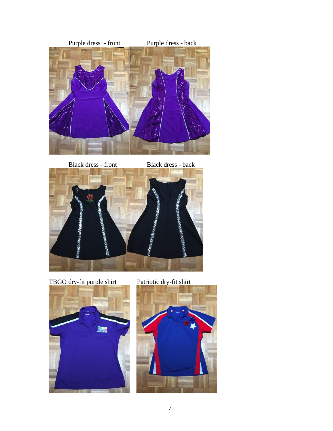

Black dress - front Black dress - back



TBGO dry-fit purple shirt Patriotic dry-fit shirt



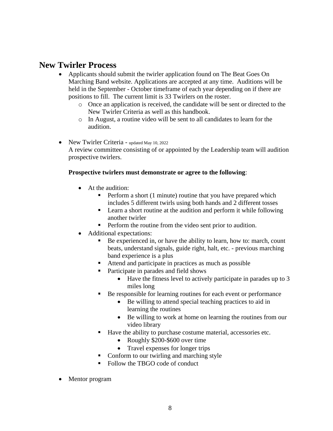# **New Twirler Process**

- Applicants should submit the twirler application found on The Beat Goes On Marching Band website. Applications are accepted at any time. Auditions will be held in the September - October timeframe of each year depending on if there are positions to fill. The current limit is 33 Twirlers on the roster.
	- o Once an application is received, the candidate will be sent or directed to the New Twirler Criteria as well as this handbook.
	- $\circ$  In August, a routine video will be sent to all candidates to learn for the audition.
- New Twirler Criteria updated May 10, 2022 A review committee consisting of or appointed by the Leadership team will audition prospective twirlers.

### **Prospective twirlers must demonstrate or agree to the following**:

- At the audition:
	- Perform a short (1 minute) routine that you have prepared which includes 5 different twirls using both hands and 2 different tosses
	- Learn a short routine at the audition and perform it while following another twirler
	- Perform the routine from the video sent prior to audition.
- Additional expectations:
	- Be experienced in, or have the ability to learn, how to: march, count beats, understand signals, guide right, halt, etc. - previous marching band experience is a plus
	- Attend and participate in practices as much as possible
	- Participate in parades and field shows
		- Have the fitness level to actively participate in parades up to 3 miles long
	- Be responsible for learning routines for each event or performance
		- Be willing to attend special teaching practices to aid in learning the routines
		- Be willing to work at home on learning the routines from our video library
	- Have the ability to purchase costume material, accessories etc.
		- Roughly \$200-\$600 over time
		- Travel expenses for longer trips
	- Conform to our twirling and marching style
	- Follow the TBGO code of conduct
- Mentor program